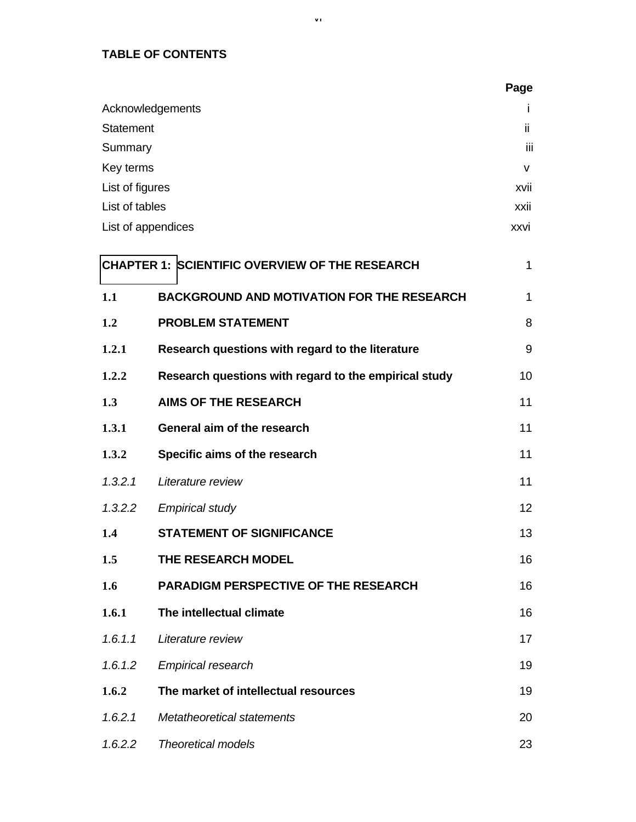### **TABLE OF CONTENTS**

|                  |                                                       | Page         |
|------------------|-------------------------------------------------------|--------------|
|                  | Acknowledgements                                      | Ť            |
| <b>Statement</b> |                                                       | ii.          |
| Summary          |                                                       | iii          |
| Key terms        |                                                       | $\mathsf{v}$ |
| List of figures  |                                                       | xvii         |
| List of tables   |                                                       | xxii         |
|                  | List of appendices                                    | xxvi         |
|                  | <b>CHAPTER 1: SCIENTIFIC OVERVIEW OF THE RESEARCH</b> | $\mathbf 1$  |
| 1.1              | <b>BACKGROUND AND MOTIVATION FOR THE RESEARCH</b>     | 1            |
| 1.2              | <b>PROBLEM STATEMENT</b>                              | 8            |
| 1.2.1            | Research questions with regard to the literature      | 9            |
| 1.2.2            | Research questions with regard to the empirical study | 10           |
| 1.3              | <b>AIMS OF THE RESEARCH</b>                           | 11           |
| 1.3.1            | General aim of the research                           | 11           |
| 1.3.2            | Specific aims of the research                         | 11           |
| 1.3.2.1          | Literature review                                     | 11           |
| 1.3.2.2          | <b>Empirical study</b>                                | 12           |
| 1.4              | <b>STATEMENT OF SIGNIFICANCE</b>                      | 13           |
| 1.5              | THE RESEARCH MODEL                                    | 16           |
| 1.6              | <b>PARADIGM PERSPECTIVE OF THE RESEARCH</b>           | 16           |
| 1.6.1            | The intellectual climate                              | 16           |
| 1.6.1.1          | Literature review                                     | 17           |
| 1.6.1.2          | <b>Empirical research</b>                             | 19           |
| 1.6.2            | The market of intellectual resources                  | 19           |
| 1.6.2.1          | Metatheoretical statements                            | 20           |
| 1.6.2.2          | <b>Theoretical models</b>                             | 23           |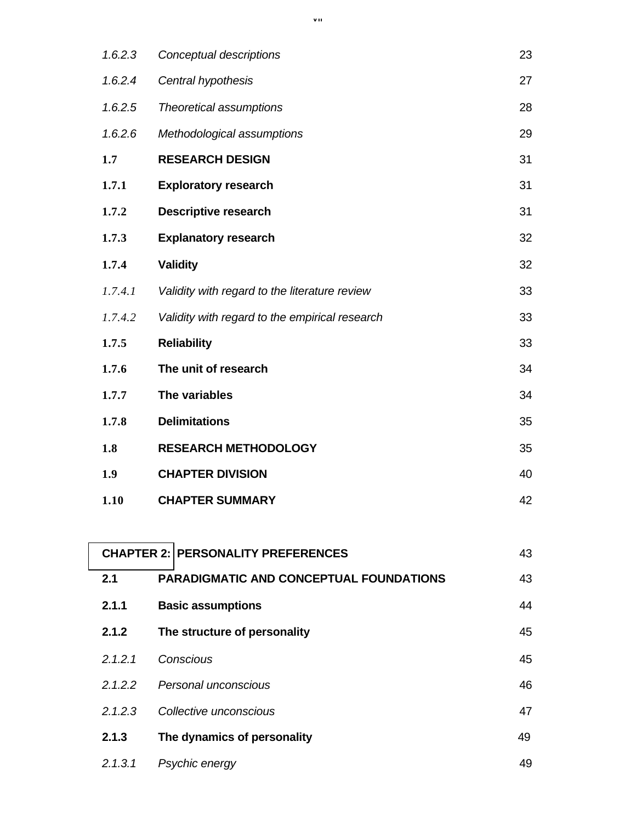| 1.6.2.3 | Conceptual descriptions                        | 23 |
|---------|------------------------------------------------|----|
| 1.6.2.4 | Central hypothesis                             | 27 |
| 1.6.2.5 | Theoretical assumptions                        | 28 |
| 1.6.2.6 | Methodological assumptions                     | 29 |
| 1.7     | <b>RESEARCH DESIGN</b>                         | 31 |
| 1.7.1   | <b>Exploratory research</b>                    | 31 |
| 1.7.2   | <b>Descriptive research</b>                    | 31 |
| 1.7.3   | <b>Explanatory research</b>                    | 32 |
| 1.7.4   | <b>Validity</b>                                | 32 |
| 1.7.4.1 | Validity with regard to the literature review  | 33 |
| 1.7.4.2 | Validity with regard to the empirical research | 33 |
| 1.7.5   | <b>Reliability</b>                             | 33 |
| 1.7.6   | The unit of research                           | 34 |
| 1.7.7   | The variables                                  | 34 |
| 1.7.8   | <b>Delimitations</b>                           | 35 |
| 1.8     | <b>RESEARCH METHODOLOGY</b>                    | 35 |
| 1.9     | <b>CHAPTER DIVISION</b>                        | 40 |
| 1.10    | <b>CHAPTER SUMMARY</b>                         | 42 |

|         | <b>CHAPTER 2: PERSONALITY PREFERENCES</b>      | 43 |
|---------|------------------------------------------------|----|
| 2.1     | <b>PARADIGMATIC AND CONCEPTUAL FOUNDATIONS</b> | 43 |
| 2.1.1   | <b>Basic assumptions</b>                       | 44 |
| 2.1.2   | The structure of personality                   | 45 |
| 2.1.2.1 | Conscious                                      | 45 |
| 2.1.2.2 | Personal unconscious                           | 46 |
| 2.1.2.3 | Collective unconscious                         | 47 |
| 2.1.3   | The dynamics of personality                    | 49 |
| 2.1.3.1 | Psychic energy                                 | 49 |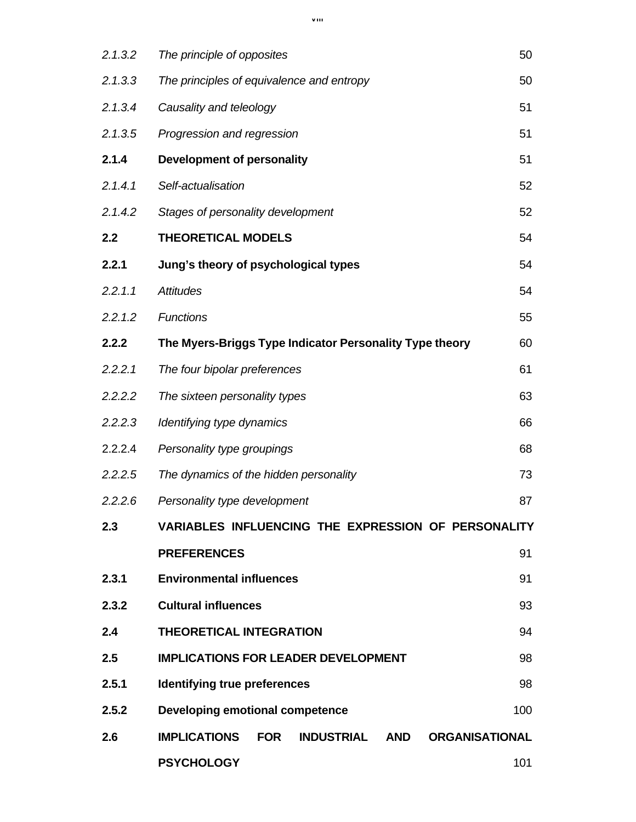| 2.1.3.2 | The principle of opposites                                                          | 50  |
|---------|-------------------------------------------------------------------------------------|-----|
| 2.1.3.3 | The principles of equivalence and entropy                                           | 50  |
| 2.1.3.4 | Causality and teleology                                                             | 51  |
| 2.1.3.5 | Progression and regression                                                          | 51  |
| 2.1.4   | <b>Development of personality</b>                                                   | 51  |
| 2.1.4.1 | Self-actualisation                                                                  | 52  |
| 2.1.4.2 | Stages of personality development                                                   | 52  |
| 2.2     | <b>THEORETICAL MODELS</b>                                                           | 54  |
| 2.2.1   | Jung's theory of psychological types                                                | 54  |
| 2.2.1.1 | <b>Attitudes</b>                                                                    | 54  |
| 2.2.1.2 | <b>Functions</b>                                                                    | 55  |
| 2.2.2   | The Myers-Briggs Type Indicator Personality Type theory                             | 60  |
| 2.2.2.1 | The four bipolar preferences                                                        | 61  |
| 2.2.2.2 | The sixteen personality types                                                       | 63  |
| 2.2.2.3 | Identifying type dynamics                                                           | 66  |
| 2.2.2.4 | Personality type groupings                                                          | 68  |
| 2.2.2.5 | The dynamics of the hidden personality                                              | 73  |
| 2.2.2.6 | Personality type development                                                        | 87  |
| 2.3     | <b>VARIABLES INFLUENCING THE EXPRESSION OF PERSONALITY</b>                          |     |
|         | <b>PREFERENCES</b>                                                                  | 91  |
| 2.3.1   | <b>Environmental influences</b>                                                     | 91  |
| 2.3.2   | <b>Cultural influences</b>                                                          | 93  |
| 2.4     | <b>THEORETICAL INTEGRATION</b>                                                      | 94  |
| 2.5     | <b>IMPLICATIONS FOR LEADER DEVELOPMENT</b>                                          | 98  |
| 2.5.1   | Identifying true preferences                                                        | 98  |
| 2.5.2   | Developing emotional competence                                                     | 100 |
| 2.6     | <b>IMPLICATIONS</b><br><b>INDUSTRIAL AND</b><br><b>FOR</b><br><b>ORGANISATIONAL</b> |     |
|         | <b>PSYCHOLOGY</b>                                                                   | 101 |

viii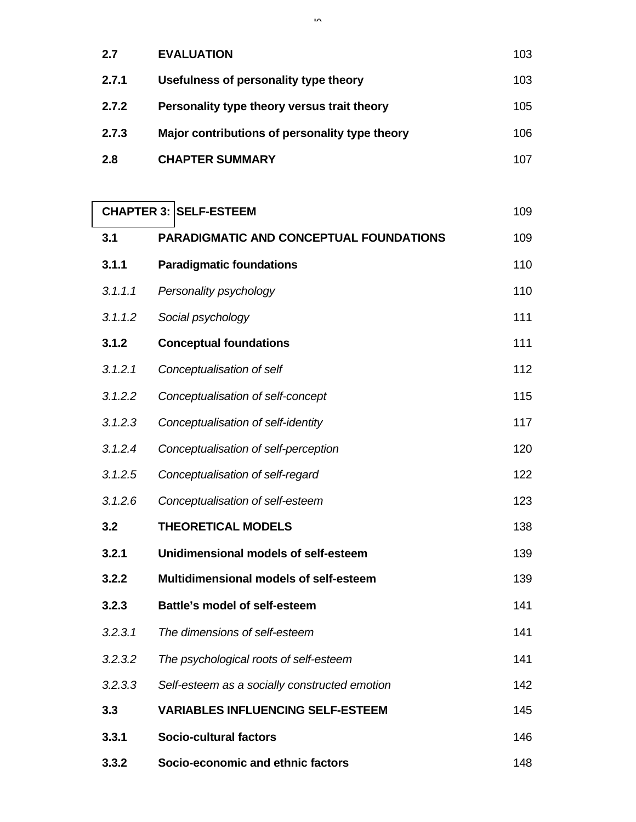| 2.7   | <b>EVALUATION</b>                              | 103 |
|-------|------------------------------------------------|-----|
| 2.7.1 | Usefulness of personality type theory          | 103 |
| 2.7.2 | Personality type theory versus trait theory    | 105 |
| 2.7.3 | Major contributions of personality type theory | 106 |
| 2.8   | <b>CHAPTER SUMMARY</b>                         | 107 |

# **CHAPTER 3: SELF-ESTEEM** 109 **3.1 PARADIGMATIC AND CONCEPTUAL FOUNDATIONS** 109

| 3. I    | PARADIGMATIC AND CONCEPTUAL FOUNDATIONS       | 109. |
|---------|-----------------------------------------------|------|
| 3.1.1   | <b>Paradigmatic foundations</b>               | 110  |
| 3.1.1.1 | Personality psychology                        | 110  |
| 3.1.1.2 | Social psychology                             | 111  |
| 3.1.2   | <b>Conceptual foundations</b>                 | 111  |
| 3.1.2.1 | Conceptualisation of self                     | 112  |
| 3.1.2.2 | Conceptualisation of self-concept             | 115  |
| 3.1.2.3 | Conceptualisation of self-identity            | 117  |
| 3.1.2.4 | Conceptualisation of self-perception          | 120  |
| 3.1.2.5 | Conceptualisation of self-regard              | 122  |
| 3.1.2.6 | Conceptualisation of self-esteem              | 123  |
| 3.2     | <b>THEORETICAL MODELS</b>                     | 138  |
| 3.2.1   | Unidimensional models of self-esteem          | 139  |
| 3.2.2   | Multidimensional models of self-esteem        | 139  |
| 3.2.3   | <b>Battle's model of self-esteem</b>          | 141  |
| 3.2.3.1 | The dimensions of self-esteem                 | 141  |
| 3.2.3.2 | The psychological roots of self-esteem        | 141  |
| 3.2.3.3 | Self-esteem as a socially constructed emotion | 142  |
| 3.3     | <b>VARIABLES INFLUENCING SELF-ESTEEM</b>      | 145  |
| 3.3.1   | <b>Socio-cultural factors</b>                 | 146  |
| 3.3.2   | Socio-economic and ethnic factors             | 148  |

ix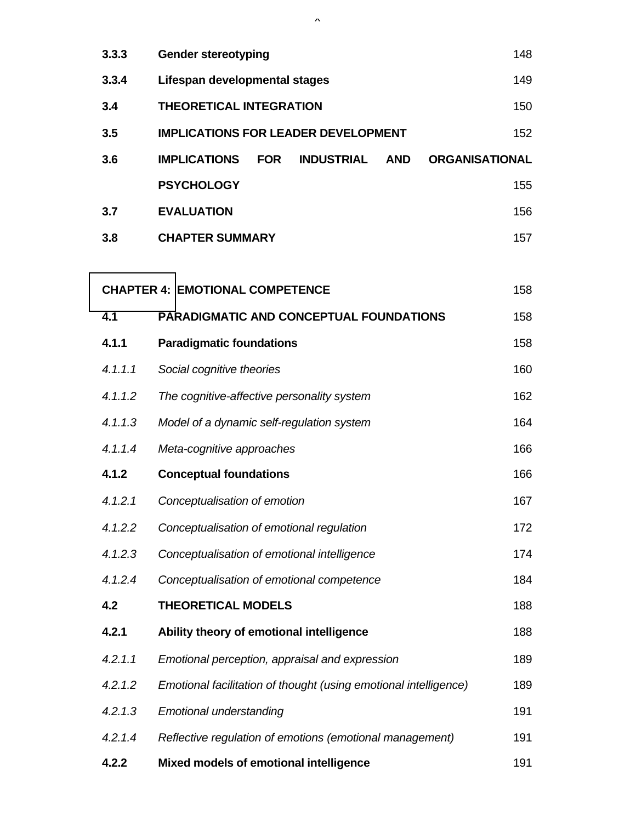| 3.3.3   | <b>Gender stereotyping</b>                                                                    | 148 |  |  |  |  |
|---------|-----------------------------------------------------------------------------------------------|-----|--|--|--|--|
| 3.3.4   | Lifespan developmental stages                                                                 |     |  |  |  |  |
| 3.4     | <b>THEORETICAL INTEGRATION</b>                                                                | 150 |  |  |  |  |
| 3.5     | <b>IMPLICATIONS FOR LEADER DEVELOPMENT</b>                                                    | 152 |  |  |  |  |
| 3.6     | <b>IMPLICATIONS</b><br><b>FOR</b><br><b>INDUSTRIAL</b><br><b>AND</b><br><b>ORGANISATIONAL</b> |     |  |  |  |  |
|         | <b>PSYCHOLOGY</b>                                                                             | 155 |  |  |  |  |
| 3.7     | <b>EVALUATION</b>                                                                             | 156 |  |  |  |  |
| 3.8     | <b>CHAPTER SUMMARY</b>                                                                        | 157 |  |  |  |  |
|         |                                                                                               |     |  |  |  |  |
|         | <b>CHAPTER 4: EMOTIONAL COMPETENCE</b>                                                        | 158 |  |  |  |  |
| 4.1     | <b>PARADIGMATIC AND CONCEPTUAL FOUNDATIONS</b>                                                | 158 |  |  |  |  |
| 4.1.1   | <b>Paradigmatic foundations</b>                                                               | 158 |  |  |  |  |
| 4.1.1.1 | Social cognitive theories                                                                     | 160 |  |  |  |  |
| 4.1.1.2 | The cognitive-affective personality system                                                    | 162 |  |  |  |  |
| 4.1.1.3 | Model of a dynamic self-regulation system                                                     | 164 |  |  |  |  |
| 4.1.1.4 | Meta-cognitive approaches                                                                     | 166 |  |  |  |  |
| 4.1.2   | <b>Conceptual foundations</b>                                                                 | 166 |  |  |  |  |
| 4.1.2.1 | Conceptualisation of emotion                                                                  | 167 |  |  |  |  |
| 4.1.2.2 | Conceptualisation of emotional regulation                                                     | 172 |  |  |  |  |
| 4.1.2.3 | Conceptualisation of emotional intelligence                                                   | 174 |  |  |  |  |
| 4.1.2.4 | Conceptualisation of emotional competence                                                     | 184 |  |  |  |  |
| 4.2     | <b>THEORETICAL MODELS</b>                                                                     | 188 |  |  |  |  |
| 4.2.1   | Ability theory of emotional intelligence                                                      | 188 |  |  |  |  |
| 4.2.1.1 | Emotional perception, appraisal and expression                                                | 189 |  |  |  |  |
| 4.2.1.2 | Emotional facilitation of thought (using emotional intelligence)                              | 189 |  |  |  |  |
| 4.2.1.3 | <b>Emotional understanding</b>                                                                | 191 |  |  |  |  |
| 4.2.1.4 | Reflective regulation of emotions (emotional management)                                      | 191 |  |  |  |  |
| 4.2.2   | Mixed models of emotional intelligence                                                        | 191 |  |  |  |  |

 $\lambda$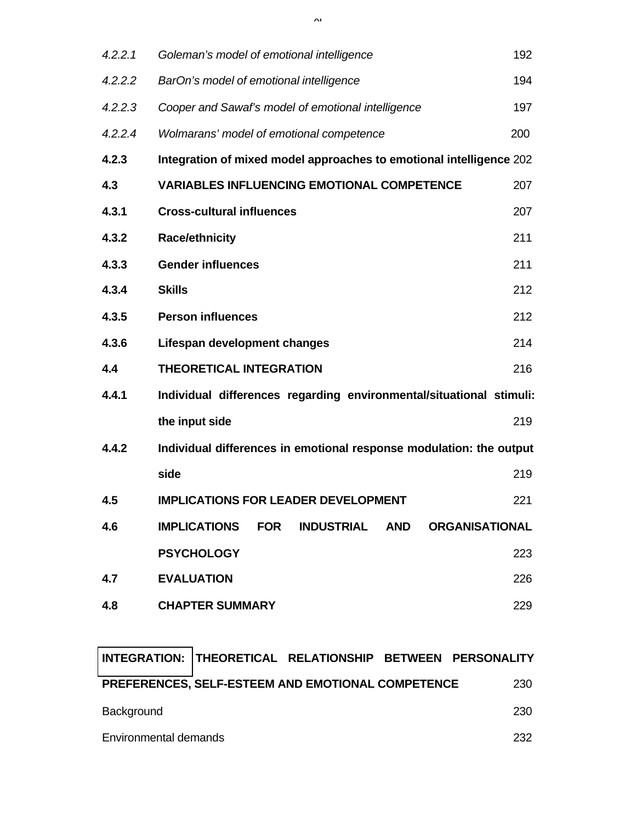| 4.2.2.1 | Goleman's model of emotional intelligence                                                     | 192 |
|---------|-----------------------------------------------------------------------------------------------|-----|
| 4.2.2.2 | BarOn's model of emotional intelligence                                                       | 194 |
| 4.2.2.3 | Cooper and Sawaf's model of emotional intelligence                                            | 197 |
| 4.2.2.4 | Wolmarans' model of emotional competence                                                      | 200 |
| 4.2.3   | Integration of mixed model approaches to emotional intelligence 202                           |     |
| 4.3     | <b>VARIABLES INFLUENCING EMOTIONAL COMPETENCE</b>                                             | 207 |
| 4.3.1   | <b>Cross-cultural influences</b>                                                              | 207 |
| 4.3.2   | <b>Race/ethnicity</b>                                                                         | 211 |
| 4.3.3   | <b>Gender influences</b>                                                                      | 211 |
| 4.3.4   | <b>Skills</b>                                                                                 | 212 |
| 4.3.5   | <b>Person influences</b>                                                                      | 212 |
| 4.3.6   | Lifespan development changes                                                                  | 214 |
| 4.4     | <b>THEORETICAL INTEGRATION</b>                                                                | 216 |
| 4.4.1   | Individual differences regarding environmental/situational stimuli:                           |     |
|         | the input side                                                                                | 219 |
| 4.4.2   | Individual differences in emotional response modulation: the output                           |     |
|         | side                                                                                          | 219 |
| 4.5     | <b>IMPLICATIONS FOR LEADER DEVELOPMENT</b>                                                    | 221 |
| 4.6     | <b>IMPLICATIONS</b><br><b>FOR</b><br><b>INDUSTRIAL</b><br><b>AND</b><br><b>ORGANISATIONAL</b> |     |
|         | <b>PSYCHOLOGY</b>                                                                             | 223 |
| 4.7     | <b>EVALUATION</b>                                                                             | 226 |
| 4.8     | <b>CHAPTER SUMMARY</b>                                                                        | 229 |
|         |                                                                                               |     |

|                       | INTEGRATION: THEORETICAL RELATIONSHIP BETWEEN PERSONALITY |      |
|-----------------------|-----------------------------------------------------------|------|
|                       | PREFERENCES, SELF-ESTEEM AND EMOTIONAL COMPETENCE         | 230  |
| Background            |                                                           | 230  |
| Environmental demands |                                                           | 232. |

xi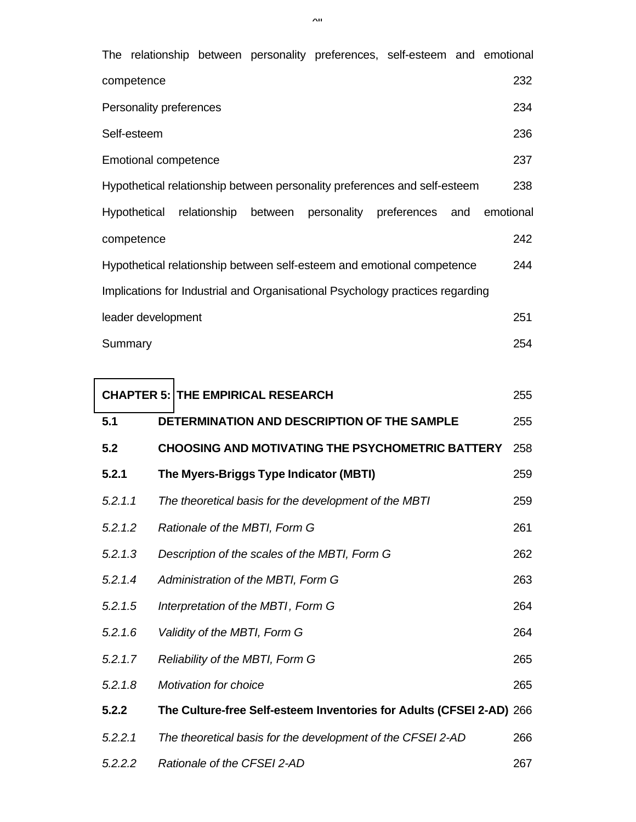|         |                                          |                              |                                    |                                                       | The relationship between personality preferences, self-esteem and emotional   |     |           |
|---------|------------------------------------------|------------------------------|------------------------------------|-------------------------------------------------------|-------------------------------------------------------------------------------|-----|-----------|
|         | competence                               |                              |                                    |                                                       |                                                                               |     | 232       |
|         | Personality preferences                  |                              |                                    |                                                       |                                                                               |     | 234       |
|         | Self-esteem                              |                              |                                    |                                                       |                                                                               |     | 236       |
|         | <b>Emotional competence</b>              |                              |                                    |                                                       |                                                                               |     | 237       |
|         |                                          |                              |                                    |                                                       | Hypothetical relationship between personality preferences and self-esteem     |     | 238       |
|         | Hypothetical                             | relationship                 | between                            |                                                       | personality preferences                                                       | and | emotional |
|         | competence                               |                              |                                    |                                                       |                                                                               |     | 242       |
|         |                                          |                              |                                    |                                                       | Hypothetical relationship between self-esteem and emotional competence        |     | 244       |
|         |                                          |                              |                                    |                                                       | Implications for Industrial and Organisational Psychology practices regarding |     |           |
|         | leader development                       |                              |                                    |                                                       |                                                                               |     | 251       |
| Summary |                                          |                              |                                    |                                                       |                                                                               |     | 254       |
|         |                                          |                              |                                    |                                                       |                                                                               |     |           |
|         | <b>CHAPTER 5: THE EMPIRICAL RESEARCH</b> |                              |                                    |                                                       |                                                                               |     | 255       |
| 5.1     |                                          |                              |                                    |                                                       | DETERMINATION AND DESCRIPTION OF THE SAMPLE                                   |     | 255       |
| 5.2     |                                          |                              |                                    |                                                       | <b>CHOOSING AND MOTIVATING THE PSYCHOMETRIC BATTERY</b>                       |     | 258       |
| 5.2.1   |                                          |                              |                                    | The Myers-Briggs Type Indicator (MBTI)                |                                                                               |     | 259       |
| 5.2.1.1 |                                          |                              |                                    | The theoretical basis for the development of the MBTI |                                                                               |     | 259       |
| 5.2.1.2 |                                          |                              | Rationale of the MBTI, Form G      |                                                       |                                                                               |     | 261       |
| 5.2.1.3 |                                          |                              |                                    | Description of the scales of the MBTI, Form G         |                                                                               |     | 262       |
| 5.2.1.4 |                                          |                              | Administration of the MBTI, Form G |                                                       |                                                                               |     | 263       |
| 5.2.1.5 |                                          |                              | Interpretation of the MBTI, Form G |                                                       |                                                                               |     | 264       |
| 5.2.1.6 |                                          |                              | Validity of the MBTI, Form G       |                                                       |                                                                               |     | 264       |
| 5.2.1.7 |                                          |                              | Reliability of the MBTI, Form G    |                                                       |                                                                               |     | 265       |
| 5.2.1.8 |                                          | <b>Motivation for choice</b> |                                    |                                                       |                                                                               |     | 265       |
| 5.2.2   |                                          |                              |                                    |                                                       | The Culture-free Self-esteem Inventories for Adults (CFSEI 2-AD) 266          |     |           |
| 5.2.2.1 |                                          |                              |                                    |                                                       | The theoretical basis for the development of the CFSEI 2-AD                   |     | 266       |
| 5.2.2.2 |                                          |                              | Rationale of the CFSEI 2-AD        |                                                       |                                                                               |     | 267       |

 $\lambda$ ii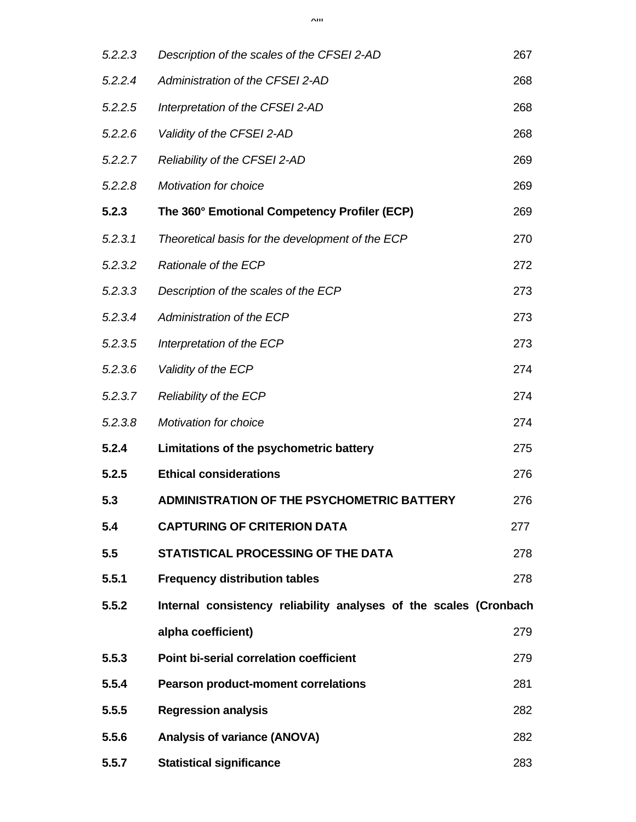$\lambda$ iii

| 5.2.2.3 | Description of the scales of the CFSEI 2-AD                       | 267 |
|---------|-------------------------------------------------------------------|-----|
| 5.2.2.4 | Administration of the CFSEI 2-AD                                  | 268 |
| 5.2.2.5 | Interpretation of the CFSEI 2-AD                                  | 268 |
| 5.2.2.6 | Validity of the CFSEI 2-AD                                        | 268 |
| 5.2.2.7 | Reliability of the CFSEI 2-AD                                     | 269 |
| 5.2.2.8 | <b>Motivation for choice</b>                                      | 269 |
| 5.2.3   | The 360° Emotional Competency Profiler (ECP)                      | 269 |
| 5.2.3.1 | Theoretical basis for the development of the ECP                  | 270 |
| 5.2.3.2 | Rationale of the ECP                                              | 272 |
| 5.2.3.3 | Description of the scales of the ECP                              | 273 |
| 5.2.3.4 | Administration of the ECP                                         | 273 |
| 5.2.3.5 | Interpretation of the ECP                                         | 273 |
| 5.2.3.6 | Validity of the ECP                                               | 274 |
| 5.2.3.7 | Reliability of the ECP                                            | 274 |
| 5.2.3.8 | <b>Motivation for choice</b>                                      | 274 |
| 5.2.4   | Limitations of the psychometric battery                           | 275 |
| 5.2.5   | <b>Ethical considerations</b>                                     | 276 |
| 5.3     | <b>ADMINISTRATION OF THE PSYCHOMETRIC BATTERY</b>                 | 276 |
| 5.4     | <b>CAPTURING OF CRITERION DATA</b>                                | 277 |
| 5.5     | STATISTICAL PROCESSING OF THE DATA                                | 278 |
| 5.5.1   | <b>Frequency distribution tables</b>                              | 278 |
| 5.5.2   | Internal consistency reliability analyses of the scales (Cronbach |     |
|         | alpha coefficient)                                                | 279 |
| 5.5.3   | <b>Point bi-serial correlation coefficient</b>                    | 279 |
| 5.5.4   | <b>Pearson product-moment correlations</b>                        | 281 |
| 5.5.5   | <b>Regression analysis</b>                                        | 282 |
| 5.5.6   | <b>Analysis of variance (ANOVA)</b>                               | 282 |
| 5.5.7   | <b>Statistical significance</b>                                   | 283 |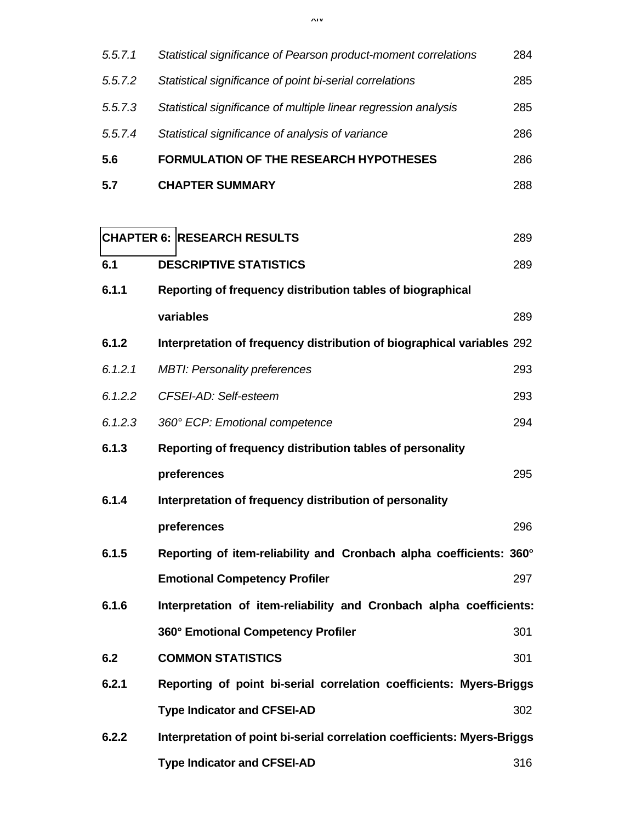xiv

| 5.5.7.1 | Statistical significance of Pearson product-moment correlations          | 284 |
|---------|--------------------------------------------------------------------------|-----|
| 5.5.7.2 | Statistical significance of point bi-serial correlations                 | 285 |
| 5.5.7.3 | Statistical significance of multiple linear regression analysis          | 285 |
| 5.5.7.4 | Statistical significance of analysis of variance                         | 286 |
| 5.6     | <b>FORMULATION OF THE RESEARCH HYPOTHESES</b>                            | 286 |
| 5.7     | <b>CHAPTER SUMMARY</b>                                                   | 288 |
|         |                                                                          |     |
|         | <b>CHAPTER 6: RESEARCH RESULTS</b>                                       | 289 |
| 6.1     | <b>DESCRIPTIVE STATISTICS</b>                                            | 289 |
| 6.1.1   | Reporting of frequency distribution tables of biographical               |     |
|         | variables                                                                | 289 |
| 6.1.2   | Interpretation of frequency distribution of biographical variables 292   |     |
| 6.1.2.1 | <b>MBTI: Personality preferences</b>                                     | 293 |
| 6.1.2.2 | CFSEI-AD: Self-esteem                                                    | 293 |
| 6.1.2.3 | 360° ECP: Emotional competence                                           | 294 |
| 6.1.3   | Reporting of frequency distribution tables of personality                |     |
|         | preferences                                                              | 295 |
| 6.1.4   | Interpretation of frequency distribution of personality                  |     |
|         | preferences                                                              | 296 |
| 6.1.5   | Reporting of item-reliability and Cronbach alpha coefficients: 360°      |     |
|         | <b>Emotional Competency Profiler</b>                                     | 297 |
| 6.1.6   | Interpretation of item-reliability and Cronbach alpha coefficients:      |     |
|         | 360° Emotional Competency Profiler                                       | 301 |
| 6.2     | <b>COMMON STATISTICS</b>                                                 | 301 |
| 6.2.1   | Reporting of point bi-serial correlation coefficients: Myers-Briggs      |     |
|         | <b>Type Indicator and CFSEI-AD</b>                                       | 302 |
| 6.2.2   | Interpretation of point bi-serial correlation coefficients: Myers-Briggs |     |
|         | <b>Type Indicator and CFSEI-AD</b>                                       | 316 |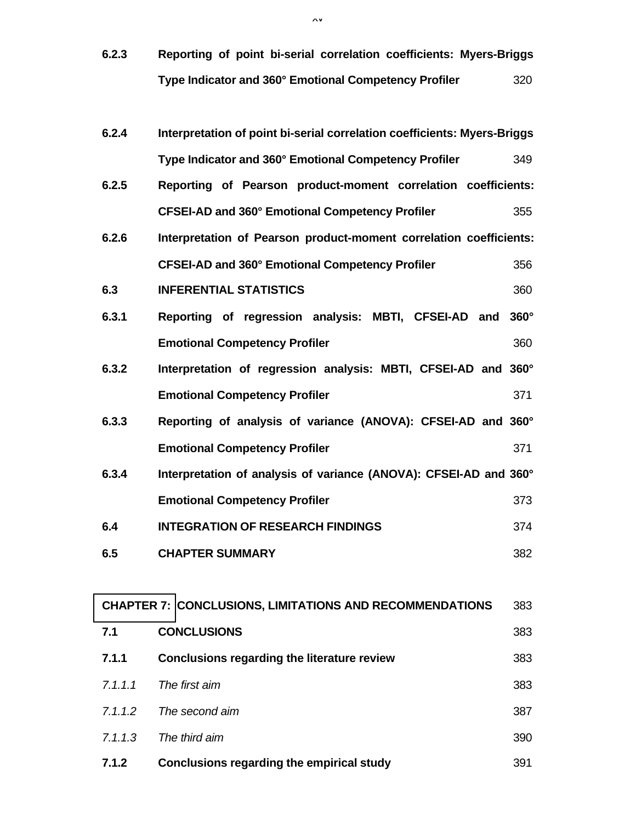**6.2.3 Reporting of point bi-serial correlation coefficients: Myers-Briggs Type Indicator and 360° Emotional Competency Profiler** 320

| 6.2.4   | Interpretation of point bi-serial correlation coefficients: Myers-Briggs |             |
|---------|--------------------------------------------------------------------------|-------------|
|         | Type Indicator and 360° Emotional Competency Profiler                    | 349         |
| 6.2.5   | Reporting of Pearson product-moment correlation coefficients:            |             |
|         | CFSEI-AD and 360° Emotional Competency Profiler                          | 355         |
| 6.2.6   | Interpretation of Pearson product-moment correlation coefficients:       |             |
|         | <b>CFSEI-AD and 360° Emotional Competency Profiler</b>                   | 356         |
| 6.3     | <b>INFERENTIAL STATISTICS</b>                                            | 360         |
| 6.3.1   | Reporting of regression analysis: MBTI, CFSEI-AD and                     | $360^\circ$ |
|         | <b>Emotional Competency Profiler</b>                                     | 360         |
| 6.3.2   | Interpretation of regression analysis: MBTI, CFSEI-AD and 360°           |             |
|         | <b>Emotional Competency Profiler</b>                                     | 371         |
| 6.3.3   | Reporting of analysis of variance (ANOVA): CFSEI-AD and 360°             |             |
|         | <b>Emotional Competency Profiler</b>                                     | 371         |
| 6.3.4   | Interpretation of analysis of variance (ANOVA): CFSEI-AD and 360°        |             |
|         | <b>Emotional Competency Profiler</b>                                     | 373         |
| 6.4     | <b>INTEGRATION OF RESEARCH FINDINGS</b>                                  | 374         |
| 6.5     | <b>CHAPTER SUMMARY</b>                                                   | 382         |
|         |                                                                          |             |
|         | <b>CHAPTER 7: CONCLUSIONS, LIMITATIONS AND RECOMMENDATIONS</b>           | 383         |
| 7.1     | <b>CONCLUSIONS</b>                                                       | 383         |
| 7.1.1   | <b>Conclusions regarding the literature review</b>                       | 383         |
| 7.1.1.1 | The first aim                                                            | 383         |
| 7.1.1.2 | The second aim                                                           | 387         |
| 7.1.1.3 | The third aim                                                            | 390         |
| 7.1.2   | <b>Conclusions regarding the empirical study</b>                         | 391         |

xv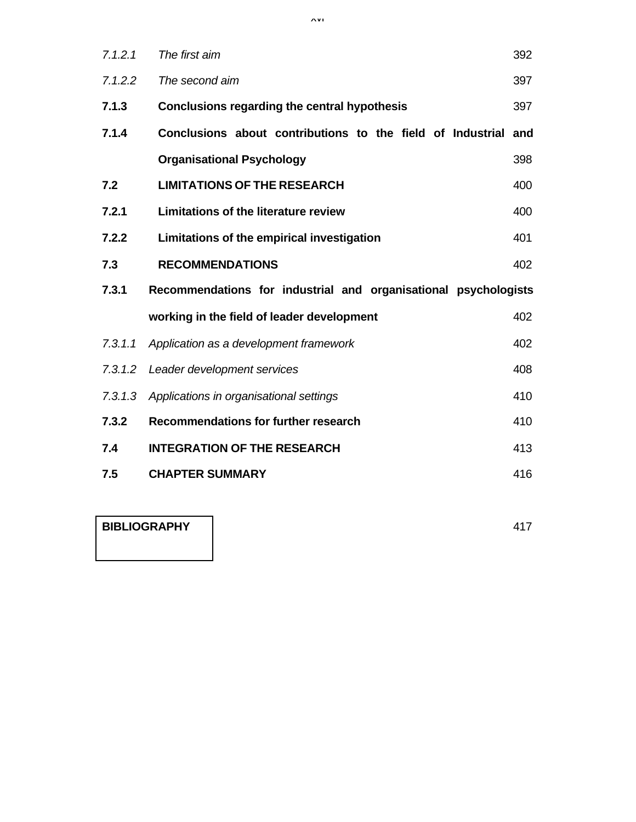| 7.1.2.1 | The first aim                                                   | 392 |
|---------|-----------------------------------------------------------------|-----|
| 7.1.2.2 | The second aim                                                  | 397 |
| 7.1.3   | Conclusions regarding the central hypothesis                    | 397 |
| 7.1.4   | Conclusions about contributions to the field of Industrial      | and |
|         | <b>Organisational Psychology</b>                                | 398 |
| 7.2     | <b>LIMITATIONS OF THE RESEARCH</b>                              | 400 |
| 7.2.1   | <b>Limitations of the literature review</b>                     | 400 |
| 7.2.2   | Limitations of the empirical investigation                      | 401 |
| 7.3     | <b>RECOMMENDATIONS</b>                                          | 402 |
| 7.3.1   | Recommendations for industrial and organisational psychologists |     |
|         | working in the field of leader development                      | 402 |
| 7.3.1.1 | Application as a development framework                          | 402 |
| 7.3.1.2 | Leader development services                                     | 408 |
| 7.3.1.3 | Applications in organisational settings                         | 410 |
| 7.3.2   | Recommendations for further research                            | 410 |
| 7.4     | <b>INTEGRATION OF THE RESEARCH</b>                              | 413 |
| 7.5     | <b>CHAPTER SUMMARY</b>                                          | 416 |

**BIBLIOGRAPHY** 417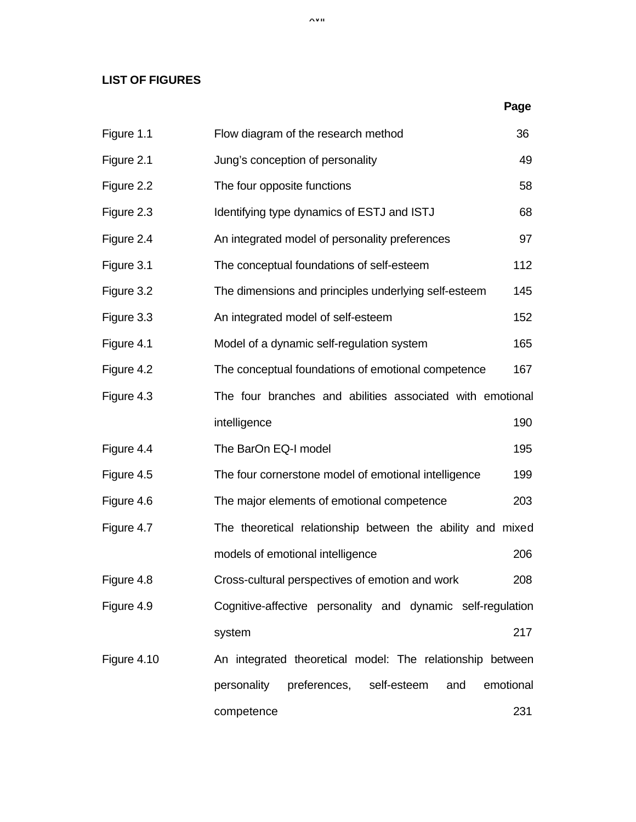## **LIST OF FIGURES**

|             |                                                                | Page |
|-------------|----------------------------------------------------------------|------|
| Figure 1.1  | Flow diagram of the research method                            | 36   |
| Figure 2.1  | Jung's conception of personality                               | 49   |
| Figure 2.2  | The four opposite functions                                    | 58   |
| Figure 2.3  | Identifying type dynamics of ESTJ and ISTJ                     | 68   |
| Figure 2.4  | An integrated model of personality preferences                 | 97   |
| Figure 3.1  | The conceptual foundations of self-esteem                      | 112  |
| Figure 3.2  | The dimensions and principles underlying self-esteem           | 145  |
| Figure 3.3  | An integrated model of self-esteem                             | 152  |
| Figure 4.1  | Model of a dynamic self-regulation system                      | 165  |
| Figure 4.2  | The conceptual foundations of emotional competence             | 167  |
| Figure 4.3  | The four branches and abilities associated with emotional      |      |
|             | intelligence                                                   | 190  |
| Figure 4.4  | The BarOn EQ-I model                                           | 195  |
| Figure 4.5  | The four cornerstone model of emotional intelligence           | 199  |
| Figure 4.6  | The major elements of emotional competence                     | 203  |
| Figure 4.7  | The theoretical relationship between the ability and mixed     |      |
|             | models of emotional intelligence                               | 206  |
| Figure 4.8  | Cross-cultural perspectives of emotion and work                | 208  |
| Figure 4.9  | Cognitive-affective personality and dynamic self-regulation    |      |
|             | system                                                         | 217  |
| Figure 4.10 | An integrated theoretical model: The relationship between      |      |
|             | preferences,<br>self-esteem<br>and<br>emotional<br>personality |      |
|             | competence                                                     | 231  |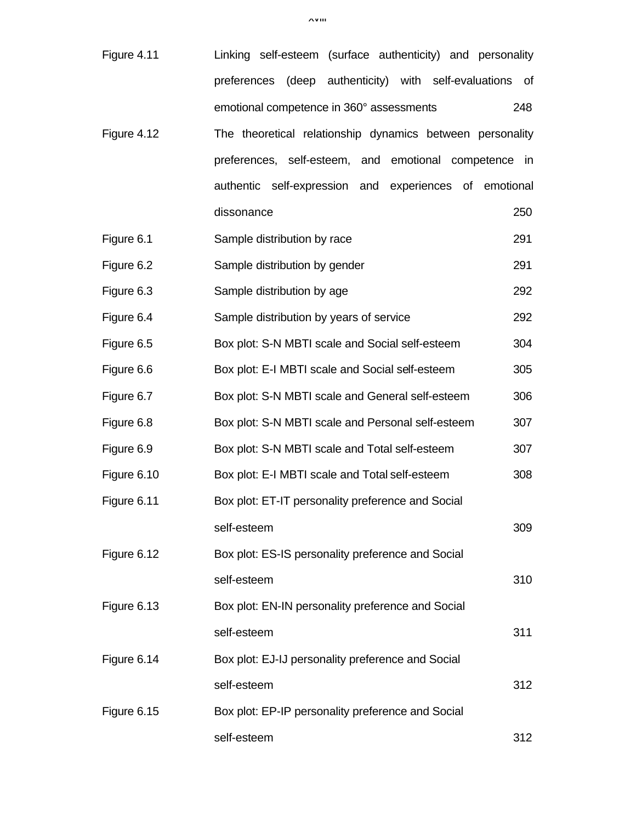| Figure 4.11 | Linking self-esteem (surface authenticity) and personality |     |
|-------------|------------------------------------------------------------|-----|
|             | preferences (deep authenticity) with self-evaluations      | _of |
|             | emotional competence in 360° assessments                   | 248 |
| Figure 4.12 | The theoretical relationship dynamics between personality  |     |
|             | preferences, self-esteem, and emotional competence in      |     |
|             | authentic self-expression and experiences of emotional     |     |
|             | dissonance                                                 | 250 |
| Figure 6.1  | Sample distribution by race                                | 291 |
| Figure 6.2  | Sample distribution by gender                              | 291 |
| Figure 6.3  | Sample distribution by age                                 | 292 |
| Figure 6.4  | Sample distribution by years of service                    | 292 |
| Figure 6.5  | Box plot: S-N MBTI scale and Social self-esteem            | 304 |
| Figure 6.6  | Box plot: E-I MBTI scale and Social self-esteem            | 305 |
| Figure 6.7  | Box plot: S-N MBTI scale and General self-esteem           | 306 |
| Figure 6.8  | Box plot: S-N MBTI scale and Personal self-esteem          | 307 |
| Figure 6.9  | Box plot: S-N MBTI scale and Total self-esteem             | 307 |
| Figure 6.10 | Box plot: E-I MBTI scale and Total self-esteem             | 308 |
| Figure 6.11 | Box plot: ET-IT personality preference and Social          |     |
|             | self-esteem                                                | 309 |
| Figure 6.12 | Box plot: ES-IS personality preference and Social          |     |
|             | self-esteem                                                | 310 |
| Figure 6.13 | Box plot: EN-IN personality preference and Social          |     |
|             | self-esteem                                                | 311 |
| Figure 6.14 | Box plot: EJ-IJ personality preference and Social          |     |
|             | self-esteem                                                | 312 |
| Figure 6.15 | Box plot: EP-IP personality preference and Social          |     |
|             | self-esteem                                                | 312 |

xviii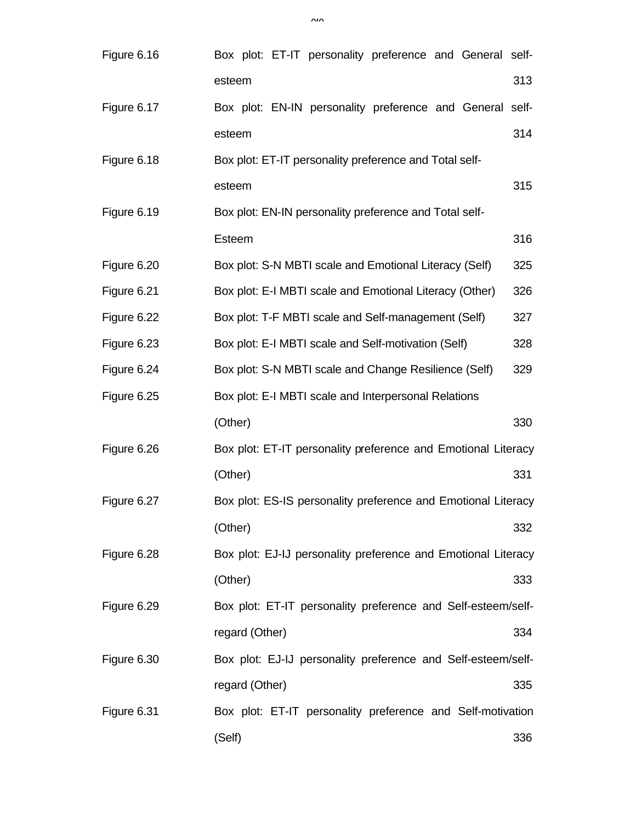| Figure 6.16 | Box plot: ET-IT personality preference and General self-      |     |
|-------------|---------------------------------------------------------------|-----|
|             | esteem                                                        | 313 |
| Figure 6.17 | Box plot: EN-IN personality preference and General self-      |     |
|             | esteem                                                        | 314 |
| Figure 6.18 | Box plot: ET-IT personality preference and Total self-        |     |
|             | esteem                                                        | 315 |
| Figure 6.19 | Box plot: EN-IN personality preference and Total self-        |     |
|             | Esteem                                                        | 316 |
| Figure 6.20 | Box plot: S-N MBTI scale and Emotional Literacy (Self)        | 325 |
| Figure 6.21 | Box plot: E-I MBTI scale and Emotional Literacy (Other)       | 326 |
| Figure 6.22 | Box plot: T-F MBTI scale and Self-management (Self)           | 327 |
| Figure 6.23 | Box plot: E-I MBTI scale and Self-motivation (Self)           | 328 |
| Figure 6.24 | Box plot: S-N MBTI scale and Change Resilience (Self)         | 329 |
| Figure 6.25 | Box plot: E-I MBTI scale and Interpersonal Relations          |     |
|             | (Other)                                                       | 330 |
| Figure 6.26 | Box plot: ET-IT personality preference and Emotional Literacy |     |
|             | (Other)                                                       | 331 |
| Figure 6.27 | Box plot: ES-IS personality preference and Emotional Literacy |     |
|             | (Other)                                                       | 332 |
| Figure 6.28 | Box plot: EJ-IJ personality preference and Emotional Literacy |     |
|             | (Other)                                                       | 333 |
| Figure 6.29 | Box plot: ET-IT personality preference and Self-esteem/self-  |     |
|             | regard (Other)                                                | 334 |
| Figure 6.30 | Box plot: EJ-IJ personality preference and Self-esteem/self-  |     |
|             | regard (Other)                                                | 335 |
| Figure 6.31 | Box plot: ET-IT personality preference and Self-motivation    |     |
|             | (Self)                                                        | 336 |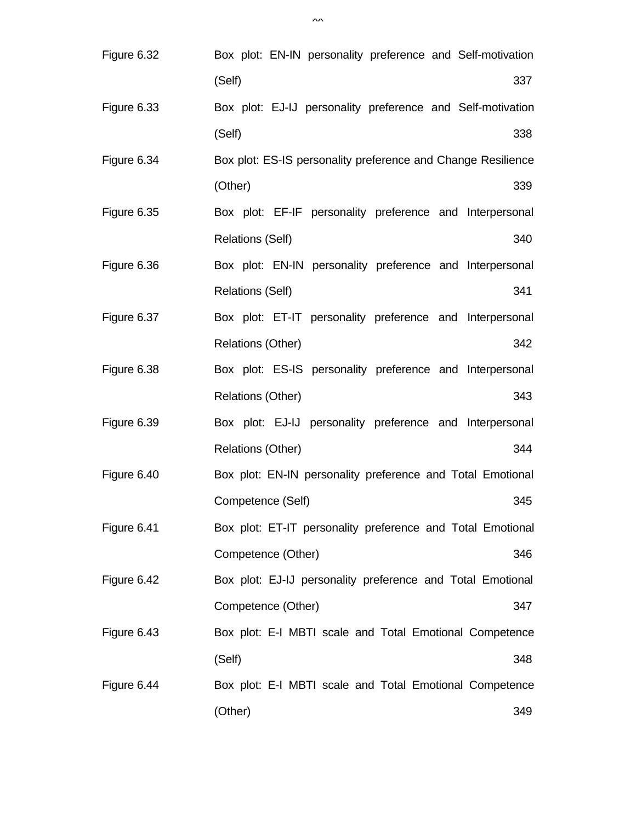| Figure 6.32 | Box plot: EN-IN personality preference and Self-motivation   |
|-------------|--------------------------------------------------------------|
|             | (Self)<br>337                                                |
| Figure 6.33 | Box plot: EJ-IJ personality preference and Self-motivation   |
|             | (Self)<br>338                                                |
| Figure 6.34 | Box plot: ES-IS personality preference and Change Resilience |
|             | (Other)<br>339                                               |
| Figure 6.35 | Box plot: EF-IF personality preference and Interpersonal     |
|             | 340<br><b>Relations (Self)</b>                               |
| Figure 6.36 | Box plot: EN-IN personality preference and Interpersonal     |
|             | 341<br><b>Relations (Self)</b>                               |
| Figure 6.37 | Box plot: ET-IT personality preference and Interpersonal     |
|             | <b>Relations (Other)</b><br>342                              |
| Figure 6.38 | Box plot: ES-IS personality preference and Interpersonal     |
|             | <b>Relations (Other)</b><br>343                              |
| Figure 6.39 | Box plot: EJ-IJ personality preference and Interpersonal     |
|             | <b>Relations (Other)</b><br>344                              |
| Figure 6.40 | Box plot: EN-IN personality preference and Total Emotional   |
|             | 345<br>Competence (Self)                                     |
| Figure 6.41 | Box plot: ET-IT personality preference and Total Emotional   |
|             | Competence (Other)<br>346                                    |
| Figure 6.42 | Box plot: EJ-IJ personality preference and Total Emotional   |
|             | Competence (Other)<br>347                                    |
| Figure 6.43 | Box plot: E-I MBTI scale and Total Emotional Competence      |
|             | (Self)<br>348                                                |
| Figure 6.44 | Box plot: E-I MBTI scale and Total Emotional Competence      |
|             | (Other)<br>349                                               |

 $\mathbf{v}$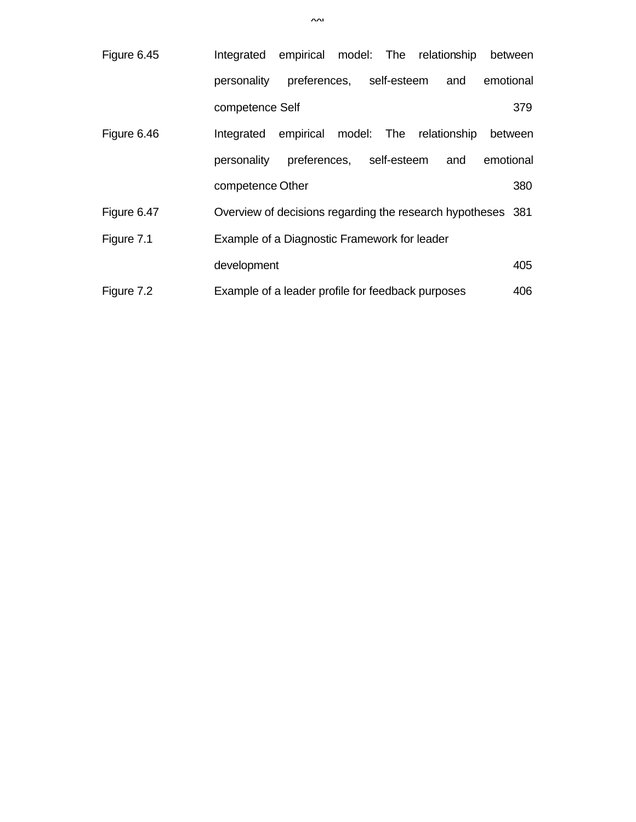| Figure 6.45 | Integrated                                        |                          |             | empirical model: The relationship between                   |           |
|-------------|---------------------------------------------------|--------------------------|-------------|-------------------------------------------------------------|-----------|
|             | personality                                       | preferences, self-esteem |             | and                                                         | emotional |
|             | competence Self                                   |                          |             |                                                             | 379       |
| Figure 6.46 | Integrated                                        | empirical                |             | model: The relationship                                     | between   |
|             | personality                                       | preferences,             | self-esteem | and                                                         | emotional |
|             | competence Other                                  |                          |             |                                                             | 380       |
| Figure 6.47 |                                                   |                          |             | Overview of decisions regarding the research hypotheses 381 |           |
| Figure 7.1  | Example of a Diagnostic Framework for leader      |                          |             |                                                             |           |
|             | development                                       |                          |             |                                                             | 405       |
| Figure 7.2  | Example of a leader profile for feedback purposes |                          |             |                                                             | 406       |

 $\lambda$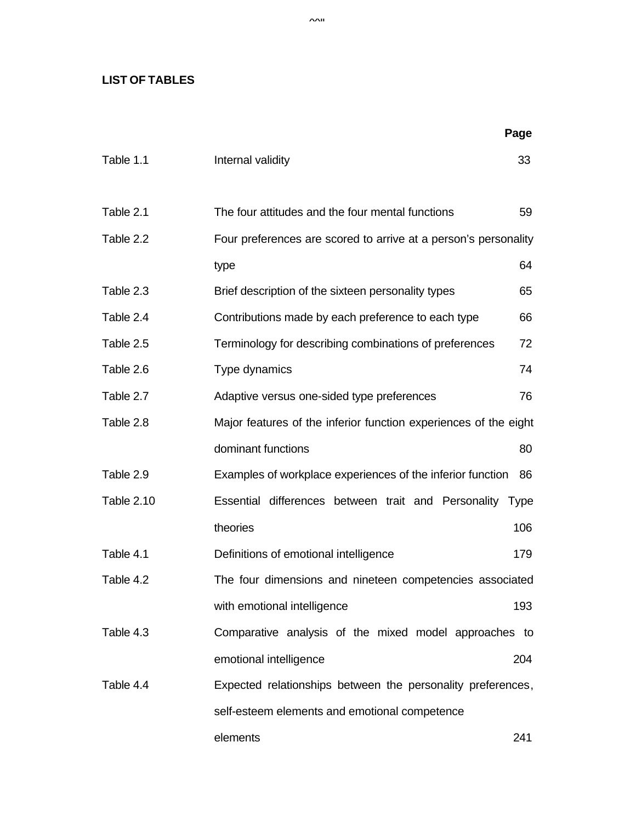## **LIST OF TABLES**

|            |                                                                  | Page |
|------------|------------------------------------------------------------------|------|
| Table 1.1  | Internal validity                                                | 33   |
| Table 2.1  | The four attitudes and the four mental functions                 | 59   |
| Table 2.2  | Four preferences are scored to arrive at a person's personality  |      |
|            | type                                                             | 64   |
| Table 2.3  | Brief description of the sixteen personality types               | 65   |
| Table 2.4  | Contributions made by each preference to each type               | 66   |
| Table 2.5  | Terminology for describing combinations of preferences           | 72   |
| Table 2.6  | Type dynamics                                                    | 74   |
| Table 2.7  | Adaptive versus one-sided type preferences                       | 76   |
| Table 2.8  | Major features of the inferior function experiences of the eight |      |
|            | dominant functions                                               | 80   |
| Table 2.9  | Examples of workplace experiences of the inferior function       | 86   |
| Table 2.10 | Essential differences between trait and Personality Type         |      |
|            | theories                                                         | 106  |
| Table 4.1  | Definitions of emotional intelligence                            | 179  |
| Table 4.2  | The four dimensions and nineteen competencies associated         |      |
|            | with emotional intelligence                                      | 193  |
| Table 4.3  | Comparative analysis of the mixed model approaches to            |      |
|            | emotional intelligence                                           | 204  |
| Table 4.4  | Expected relationships between the personality preferences,      |      |
|            | self-esteem elements and emotional competence                    |      |
|            | elements                                                         | 241  |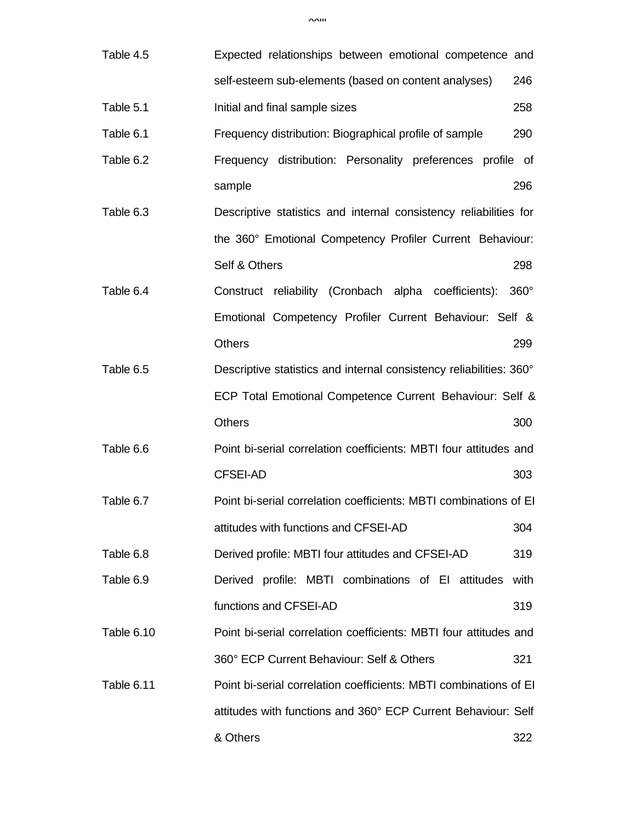| Table 4.5  | Expected relationships between emotional competence and             |             |
|------------|---------------------------------------------------------------------|-------------|
|            | self-esteem sub-elements (based on content analyses)                | 246         |
| Table 5.1  | Initial and final sample sizes                                      | 258         |
| Table 6.1  | Frequency distribution: Biographical profile of sample              | 290         |
| Table 6.2  | Frequency distribution: Personality preferences profile of          |             |
|            | sample                                                              | 296         |
| Table 6.3  | Descriptive statistics and internal consistency reliabilities for   |             |
|            | the 360° Emotional Competency Profiler Current Behaviour:           |             |
|            | Self & Others                                                       | 298         |
| Table 6.4  | Construct reliability (Cronbach alpha coefficients):                | $360^\circ$ |
|            | Emotional Competency Profiler Current Behaviour: Self &             |             |
|            | <b>Others</b>                                                       | 299         |
| Table 6.5  | Descriptive statistics and internal consistency reliabilities: 360° |             |
|            | ECP Total Emotional Competence Current Behaviour: Self &            |             |
|            | <b>Others</b>                                                       | 300         |
| Table 6.6  | Point bi-serial correlation coefficients: MBTI four attitudes and   |             |
|            | <b>CFSEI-AD</b>                                                     | 303         |
| Table 6.7  | Point bi-serial correlation coefficients: MBTI combinations of EI   |             |
|            | attitudes with functions and CFSEI-AD                               | 304         |
| Table 6.8  | Derived profile: MBTI four attitudes and CFSEI-AD                   | 319         |
| Table 6.9  | Derived profile: MBTI combinations of EI attitudes                  | with        |
|            | functions and CFSEI-AD                                              | 319         |
| Table 6.10 | Point bi-serial correlation coefficients: MBTI four attitudes and   |             |
|            | 360° ECP Current Behaviour: Self & Others                           | 321         |
| Table 6.11 | Point bi-serial correlation coefficients: MBTI combinations of EI   |             |
|            | attitudes with functions and 360° ECP Current Behaviour: Self       |             |
|            | & Others                                                            | 322         |

 $x \wedge \mathbf{u}$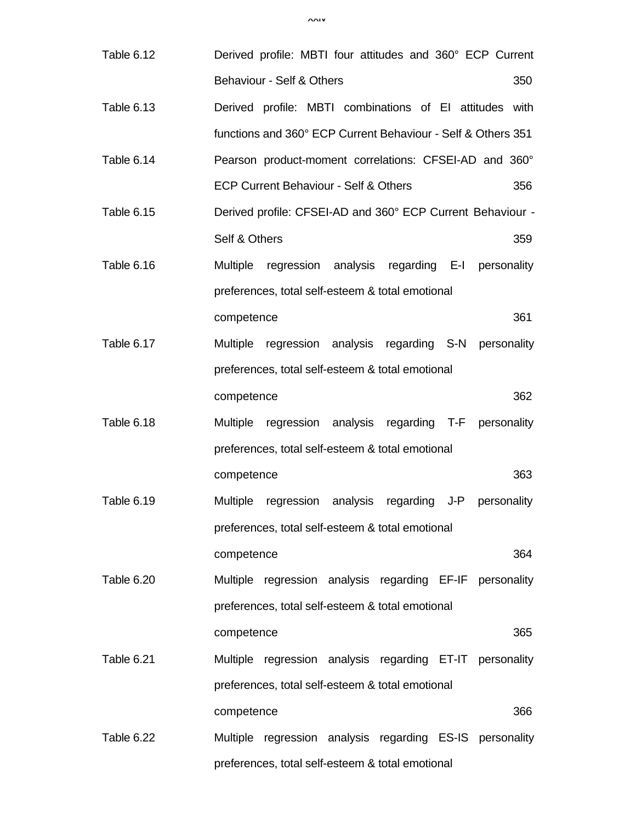| Table 6.12 |               | Derived profile: MBTI four attitudes and 360° ECP Current    |  |     |
|------------|---------------|--------------------------------------------------------------|--|-----|
|            |               | Behaviour - Self & Others                                    |  | 350 |
| Table 6.13 |               | Derived profile: MBTI combinations of EI attitudes with      |  |     |
|            |               | functions and 360° ECP Current Behaviour - Self & Others 351 |  |     |
| Table 6.14 |               | Pearson product-moment correlations: CFSEI-AD and 360°       |  |     |
|            |               | ECP Current Behaviour - Self & Others                        |  | 356 |
| Table 6.15 |               | Derived profile: CFSEI-AD and 360° ECP Current Behaviour -   |  |     |
|            | Self & Others |                                                              |  | 359 |
| Table 6.16 |               | Multiple regression analysis regarding E-I personality       |  |     |
|            |               | preferences, total self-esteem & total emotional             |  |     |
|            | competence    |                                                              |  | 361 |
| Table 6.17 |               | Multiple regression analysis regarding S-N personality       |  |     |
|            |               | preferences, total self-esteem & total emotional             |  |     |
|            | competence    |                                                              |  | 362 |
| Table 6.18 |               | Multiple regression analysis regarding T-F personality       |  |     |
|            |               | preferences, total self-esteem & total emotional             |  |     |
|            | competence    |                                                              |  | 363 |
| Table 6.19 |               | Multiple regression analysis regarding J-P personality       |  |     |
|            |               | preferences, total self-esteem & total emotional             |  |     |
|            | competence    |                                                              |  | 364 |
| Table 6.20 |               | Multiple regression analysis regarding EF-IF personality     |  |     |
|            |               | preferences, total self-esteem & total emotional             |  |     |
|            | competence    |                                                              |  | 365 |
| Table 6.21 |               | Multiple regression analysis regarding ET-IT personality     |  |     |
|            |               | preferences, total self-esteem & total emotional             |  |     |
|            | competence    |                                                              |  | 366 |
| Table 6.22 |               | Multiple regression analysis regarding ES-IS personality     |  |     |

preferences, total self-esteem & total emotional

xxiv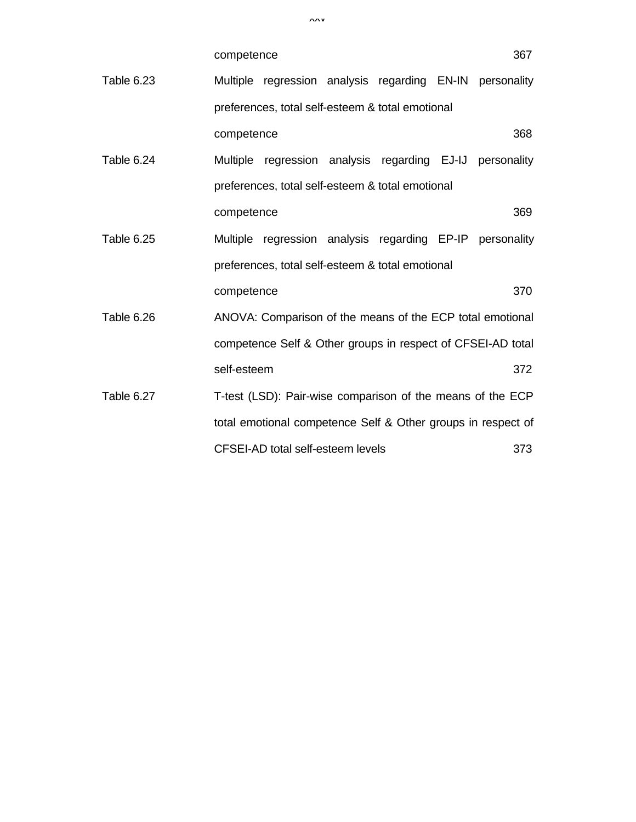|            | competence  |                                                              |  | 367 |
|------------|-------------|--------------------------------------------------------------|--|-----|
| Table 6.23 |             | Multiple regression analysis regarding EN-IN personality     |  |     |
|            |             | preferences, total self-esteem & total emotional             |  |     |
|            | competence  |                                                              |  | 368 |
| Table 6.24 |             | Multiple regression analysis regarding EJ-IJ personality     |  |     |
|            |             | preferences, total self-esteem & total emotional             |  |     |
|            | competence  |                                                              |  | 369 |
| Table 6.25 |             | Multiple regression analysis regarding EP-IP personality     |  |     |
|            |             | preferences, total self-esteem & total emotional             |  |     |
|            | competence  |                                                              |  | 370 |
| Table 6.26 |             | ANOVA: Comparison of the means of the ECP total emotional    |  |     |
|            |             | competence Self & Other groups in respect of CFSEI-AD total  |  |     |
|            | self-esteem |                                                              |  | 372 |
| Table 6.27 |             | T-test (LSD): Pair-wise comparison of the means of the ECP   |  |     |
|            |             | total emotional competence Self & Other groups in respect of |  |     |
|            |             | CFSEI-AD total self-esteem levels                            |  | 373 |